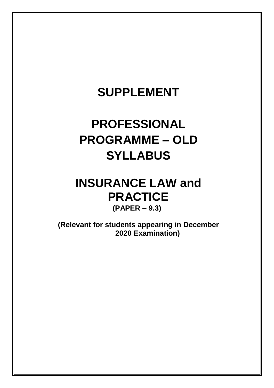## **SUPPLEMENT**

# **PROFESSIONAL PROGRAMME – OLD SYLLABUS**

### **INSURANCE LAW and PRACTICE (PAPER – 9.3)**

**(Relevant for students appearing in December 2020 Examination)**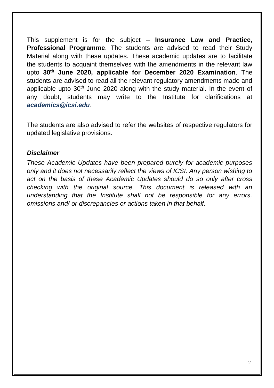This supplement is for the subject – **Insurance Law and Practice, Professional Programme**. The students are advised to read their Study Material along with these updates. These academic updates are to facilitate the students to acquaint themselves with the amendments in the relevant law upto **30 th June 2020, applicable for December 2020 Examination**. The students are advised to read all the relevant regulatory amendments made and applicable upto 30<sup>th</sup> June 2020 along with the study material. In the event of any doubt, students may write to the Institute for clarifications at *[academics@icsi.edu](mailto:academics@icsi.edu)*.

The students are also advised to refer the websites of respective regulators for updated legislative provisions.

#### *Disclaimer*

*These Academic Updates have been prepared purely for academic purposes only and it does not necessarily reflect the views of ICSI. Any person wishing to act on the basis of these Academic Updates should do so only after cross checking with the original source. This document is released with an understanding that the Institute shall not be responsible for any errors, omissions and/ or discrepancies or actions taken in that behalf.*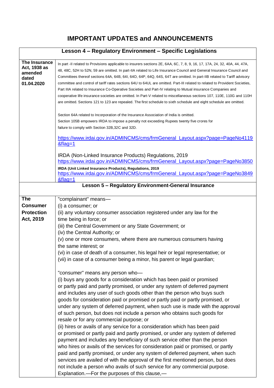#### **IMPORTANT UPDATES and ANNOUNCEMENTS**

|                                                                 | Lesson 4 - Regulatory Environment - Specific Legislations                                                                                                                                                                                                                                                                                                                                                                                                                                                                                                                                                                                                                                                                                                                                                                                                                                                                                                                                                                                                                                                                                                                                                  |  |  |
|-----------------------------------------------------------------|------------------------------------------------------------------------------------------------------------------------------------------------------------------------------------------------------------------------------------------------------------------------------------------------------------------------------------------------------------------------------------------------------------------------------------------------------------------------------------------------------------------------------------------------------------------------------------------------------------------------------------------------------------------------------------------------------------------------------------------------------------------------------------------------------------------------------------------------------------------------------------------------------------------------------------------------------------------------------------------------------------------------------------------------------------------------------------------------------------------------------------------------------------------------------------------------------------|--|--|
| The Insurance<br>Act, 1938 as<br>amended<br>dated<br>01.04.2020 | In part -II related to Provisions applicable to insurers sections 2E, 6AA, 6C, 7, 8, 9, 16, 17, 17A, 24, 32, 40A, 44, 47A,<br>48, 48C, 52H to 52N, 59 are omitted. In part-IIA related to Life Insurance Council and General Insurance Council and<br>Committees thereof sections 64A, 64B, 64I, 64O, 64P, 64Q, 64S, 64T are omitted. In part-IIB related to Tariff advisory<br>committee and control of tariff rates sections 64U to 64UL are omitted. Part-III related to related to Provident Societies,<br>Part IIIA related to Insurance Co-Operative Societies and Part-IV relating to Mutual insurance Companies and<br>cooperative life insurance societies are omitted. In Part-V related to miscellaneous sections 107, 110E, 110G and 110H<br>are omitted. Sections 121 to 123 are repealed. The first schedule to sixth schedule and eight schedule are omitted.                                                                                                                                                                                                                                                                                                                               |  |  |
|                                                                 | Section 64A related to Incorporation of the Insurance Association of India is omitted.<br>Section 105B empowers IRDA to impose a penalty not exceeding Rupees twenty five crores for<br>failure to comply with Section 32B, 32C and 32D.                                                                                                                                                                                                                                                                                                                                                                                                                                                                                                                                                                                                                                                                                                                                                                                                                                                                                                                                                                   |  |  |
|                                                                 | https://www.irdai.gov.in/ADMINCMS/cms/frmGeneral_Layout.aspx?page=PageNo4119<br>$&flag=1$                                                                                                                                                                                                                                                                                                                                                                                                                                                                                                                                                                                                                                                                                                                                                                                                                                                                                                                                                                                                                                                                                                                  |  |  |
|                                                                 | IRDA (Non-Linked Insurance Products) Regulations, 2019<br>https://www.irdai.gov.in/ADMINCMS/cms/frmGeneral_Layout.aspx?page=PageNo3850                                                                                                                                                                                                                                                                                                                                                                                                                                                                                                                                                                                                                                                                                                                                                                                                                                                                                                                                                                                                                                                                     |  |  |
|                                                                 | IRDA (Unit Linked Insurance Products), Regulations, 2019<br>https://www.irdai.gov.in/ADMINCMS/cms/frmGeneral_Layout.aspx?page=PageNo3849<br>&flag=1                                                                                                                                                                                                                                                                                                                                                                                                                                                                                                                                                                                                                                                                                                                                                                                                                                                                                                                                                                                                                                                        |  |  |
| Lesson 5 - Regulatory Environment-General Insurance             |                                                                                                                                                                                                                                                                                                                                                                                                                                                                                                                                                                                                                                                                                                                                                                                                                                                                                                                                                                                                                                                                                                                                                                                                            |  |  |
| <b>The</b>                                                      | "complainant" means-                                                                                                                                                                                                                                                                                                                                                                                                                                                                                                                                                                                                                                                                                                                                                                                                                                                                                                                                                                                                                                                                                                                                                                                       |  |  |
| <b>Consumer</b><br><b>Protection</b><br>Act, 2019               | (i) a consumer; or<br>(ii) any voluntary consumer association registered under any law for the<br>time being in force; or                                                                                                                                                                                                                                                                                                                                                                                                                                                                                                                                                                                                                                                                                                                                                                                                                                                                                                                                                                                                                                                                                  |  |  |
|                                                                 | (iii) the Central Government or any State Government; or<br>(iv) the Central Authority; or                                                                                                                                                                                                                                                                                                                                                                                                                                                                                                                                                                                                                                                                                                                                                                                                                                                                                                                                                                                                                                                                                                                 |  |  |
|                                                                 | (v) one or more consumers, where there are numerous consumers having<br>the same interest; or                                                                                                                                                                                                                                                                                                                                                                                                                                                                                                                                                                                                                                                                                                                                                                                                                                                                                                                                                                                                                                                                                                              |  |  |
|                                                                 | (vi) in case of death of a consumer, his legal heir or legal representative; or<br>(vii) in case of a consumer being a minor, his parent or legal guardian;                                                                                                                                                                                                                                                                                                                                                                                                                                                                                                                                                                                                                                                                                                                                                                                                                                                                                                                                                                                                                                                |  |  |
|                                                                 | "consumer" means any person who-<br>(i) buys any goods for a consideration which has been paid or promised<br>or partly paid and partly promised, or under any system of deferred payment<br>and includes any user of such goods other than the person who buys such<br>goods for consideration paid or promised or partly paid or partly promised, or<br>under any system of deferred payment, when such use is made with the approval<br>of such person, but does not include a person who obtains such goods for<br>resale or for any commercial purpose; or<br>(ii) hires or avails of any service for a consideration which has been paid<br>or promised or partly paid and partly promised, or under any system of deferred<br>payment and includes any beneficiary of such service other than the person<br>who hires or avails of the services for consideration paid or promised, or partly<br>paid and partly promised, or under any system of deferred payment, when such<br>services are availed of with the approval of the first mentioned person, but does<br>not include a person who avails of such service for any commercial purpose.<br>Explanation.-For the purposes of this clause,- |  |  |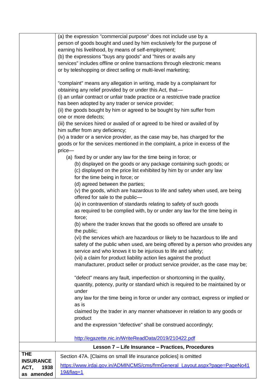|                  | (a) the expression "commercial purpose" does not include use by a                |
|------------------|----------------------------------------------------------------------------------|
|                  | person of goods bought and used by him exclusively for the purpose of            |
|                  | earning his livelihood, by means of self-employment;                             |
|                  | (b) the expressions "buys any goods" and "hires or avails any                    |
|                  | services" includes offline or online transactions through electronic means       |
|                  | or by teleshopping or direct selling or multi-level marketing;                   |
|                  |                                                                                  |
|                  | "complaint" means any allegation in writing, made by a complainant for           |
|                  | obtaining any relief provided by or under this Act, that-                        |
|                  | (i) an unfair contract or unfair trade practice or a restrictive trade practice  |
|                  | has been adopted by any trader or service provider;                              |
|                  | (ii) the goods bought by him or agreed to be bought by him suffer from           |
|                  | one or more defects;                                                             |
|                  |                                                                                  |
|                  | (iii) the services hired or availed of or agreed to be hired or availed of by    |
|                  | him suffer from any deficiency;                                                  |
|                  | (iv) a trader or a service provider, as the case may be, has charged for the     |
|                  | goods or for the services mentioned in the complaint, a price in excess of the   |
|                  | price-                                                                           |
|                  | (a) fixed by or under any law for the time being in force; or                    |
|                  | (b) displayed on the goods or any package containing such goods; or              |
|                  | (c) displayed on the price list exhibited by him by or under any law             |
|                  | for the time being in force; or                                                  |
|                  | (d) agreed between the parties;                                                  |
|                  | (v) the goods, which are hazardous to life and safety when used, are being       |
|                  | offered for sale to the public-                                                  |
|                  | (a) in contravention of standards relating to safety of such goods               |
|                  | as required to be complied with, by or under any law for the time being in       |
|                  | force;                                                                           |
|                  | (b) where the trader knows that the goods so offered are unsafe to               |
|                  | the public;                                                                      |
|                  | (vi) the services which are hazardous or likely to be hazardous to life and      |
|                  | safety of the public when used, are being offered by a person who provides any   |
|                  | service and who knows it to be injurious to life and safety;                     |
|                  | (vii) a claim for product liability action lies against the product              |
|                  | manufacturer, product seller or product service provider, as the case may be;    |
|                  |                                                                                  |
|                  | "defect" means any fault, imperfection or shortcoming in the quality,            |
|                  | quantity, potency, purity or standard which is required to be maintained by or   |
|                  | under                                                                            |
|                  | any law for the time being in force or under any contract, express or implied or |
|                  | as is                                                                            |
|                  | claimed by the trader in any manner whatsoever in relation to any goods or       |
|                  | product                                                                          |
|                  | and the expression "defective" shall be construed accordingly;                   |
|                  |                                                                                  |
|                  | http://egazette.nic.in/WriteReadData/2019/210422.pdf                             |
|                  | Lesson 7 - Life Insurance - Practices, Procedures                                |
| <b>THE</b>       | Section 47A. [Claims on small life insurance policies] is omitted                |
| <b>INSURANCE</b> |                                                                                  |
| ACT,<br>1938     | https://www.irdai.gov.in/ADMINCMS/cms/frmGeneral_Layout.aspx?page=PageNo41       |
| as amended       | 19&flag=1                                                                        |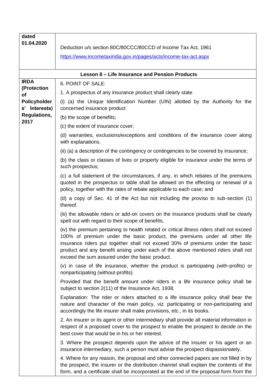| dated<br>01.04.2020                  |                                                                                                                                                                                                                                                                                                                                                                                                    |
|--------------------------------------|----------------------------------------------------------------------------------------------------------------------------------------------------------------------------------------------------------------------------------------------------------------------------------------------------------------------------------------------------------------------------------------------------|
|                                      | Deduction u/s section 80C/80CCC/80CCD of Income Tax Act, 1961                                                                                                                                                                                                                                                                                                                                      |
|                                      | https://www.incometaxindia.gov.in/pages/acts/income-tax-act.aspx                                                                                                                                                                                                                                                                                                                                   |
|                                      |                                                                                                                                                                                                                                                                                                                                                                                                    |
|                                      | <b>Lesson 8 - Life Insurance and Pension Products</b>                                                                                                                                                                                                                                                                                                                                              |
| <b>IRDA</b><br>(Protection           | 6. POINT OF SALE:                                                                                                                                                                                                                                                                                                                                                                                  |
| of                                   | 1. A prospectus of any insurance product shall clearly state                                                                                                                                                                                                                                                                                                                                       |
| <b>Policyholder</b><br>s' Interests) | (i) (a) the Unique Identification Number (UIN) allotted by the Authority for the<br>concerned insurance product                                                                                                                                                                                                                                                                                    |
| <b>Regulations,</b>                  | (b) the scope of benefits;                                                                                                                                                                                                                                                                                                                                                                         |
| 2017                                 | (c) the extent of insurance cover;                                                                                                                                                                                                                                                                                                                                                                 |
|                                      | (d) warranties, exclusions/exceptions and conditions of the insurance cover along<br>with explanations.                                                                                                                                                                                                                                                                                            |
|                                      | (ii) (a) a description of the contingency or contingencies to be covered by insurance;                                                                                                                                                                                                                                                                                                             |
|                                      | (b) the class or classes of lives or property eligible for insurance under the terms of<br>such prospectus;                                                                                                                                                                                                                                                                                        |
|                                      | (c) a full statement of the circumstances, if any, in which rebates of the premiums<br>quoted in the prospectus or table shall be allowed on the effecting or renewal of a<br>policy, together with the rates of rebate applicable to each case; and                                                                                                                                               |
|                                      | (d) a copy of Sec. 41 of the Act but not including the proviso to sub-section (1)<br>thereof.                                                                                                                                                                                                                                                                                                      |
|                                      | (iii) the allowable riders or add-on covers on the insurance products shall be clearly<br>spelt out with regard to their scope of benefits,                                                                                                                                                                                                                                                        |
|                                      | (iv) the premium pertaining to health related or critical illness riders shall not exceed<br>100% of premium under the basic product, the premiums under all other life<br>insurance riders put together shall not exceed 30% of premiums under the basic<br>product and any benefit arising under each of the above mentioned riders shall not<br>exceed the sum assured under the basic product. |
|                                      | (v) in case of life insurance, whether the product is participating (with-profits) or<br>nonparticipating (without-profits).                                                                                                                                                                                                                                                                       |
|                                      | Provided that the benefit amount under riders in a life insurance policy shall be<br>subject to section 2(11) of the Insurance Act, 1938.                                                                                                                                                                                                                                                          |
|                                      | Explanation: The rider or riders attached to a life insurance policy shall bear the<br>nature and character of the main policy, viz. participating or non-participating and<br>accordingly the life insurer shall make provisions, etc., in its books.                                                                                                                                             |
|                                      | 2. An insurer or its agent or other intermediary shall provide all material information in<br>respect of a proposed cover to the prospect to enable the prospect to decide on the<br>best cover that would be in his or her interest.                                                                                                                                                              |
|                                      | 3. Where the prospect depends upon the advice of the insurer or his agent or an<br>insurance intermediary, such a person must advise the prospect dispassionately.                                                                                                                                                                                                                                 |
|                                      | 4. Where for any reason, the proposal and other connected papers are not filled in by<br>the prospect, the insurer or the distribution channel shall explain the contents of the<br>form, and a certificate shall be incorporated at the end of the proposal form from the                                                                                                                         |